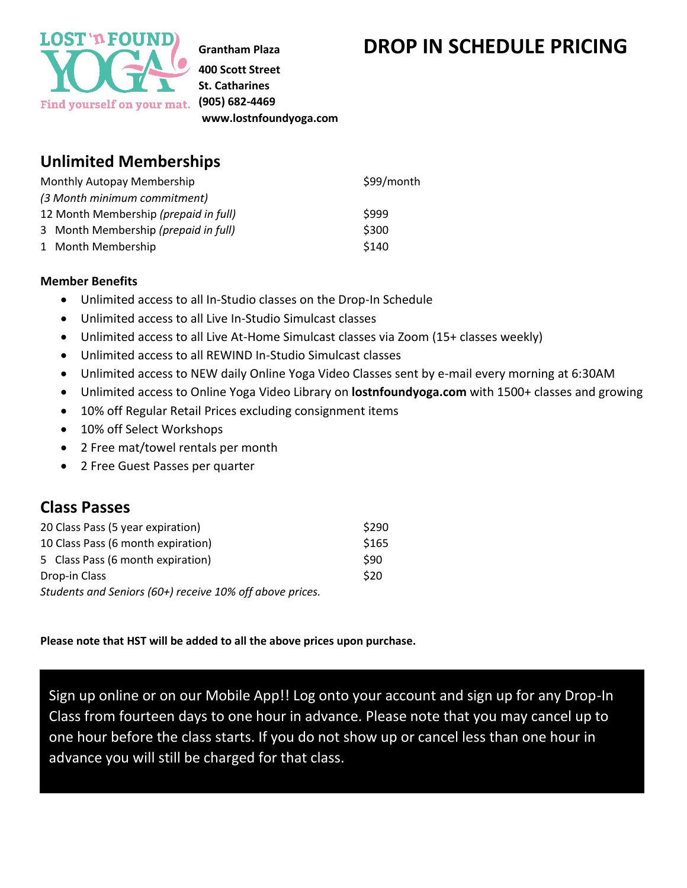

**400 Scott Street St. Catharines (905) 682-4469 www.lostnfoundyoga.com**

### **Unlimited Memberships**

| Monthly Autopay Membership            | \$99/month |
|---------------------------------------|------------|
| (3 Month minimum commitment)          |            |
| 12 Month Membership (prepaid in full) | \$999      |
| 3 Month Membership (prepaid in full)  | \$300      |
| 1 Month Membership                    | \$140      |

#### **Member Benefits**

- Unlimited access to all In-Studio classes on the Drop-In Schedule
- Unlimited access to all Live In-Studio Simulcast classes
- Unlimited access to all Live At-Home Simulcast classes via Zoom (15+ classes weekly)
- Unlimited access to all REWIND In-Studio Simulcast classes
- Unlimited access to NEW daily Online Yoga Video Classes sent by e-mail every morning at 6:30AM
- Unlimited access to Online Yoga Video Library on **lostnfoundyoga.com** with 1500+ classes and growing
- 10% off Regular Retail Prices excluding consignment items
- 10% off Select Workshops
- 2 Free mat/towel rentals per month
- 2 Free Guest Passes per quarter

#### **Class Passes**

| 20 Class Pass (5 year expiration)                        | \$290 |
|----------------------------------------------------------|-------|
| 10 Class Pass (6 month expiration)                       | \$165 |
| 5 Class Pass (6 month expiration)                        | \$90  |
| Drop-in Class                                            | \$20  |
| Students and Seniors (60+) receive 10% off above prices. |       |

#### **Please note that HST will be added to all the above prices upon purchase.**

Sign up online or on our Mobile App!! Log onto your account and sign up for any Drop-In Class from fourteen days to one hour in advance. Please note that you may cancel up to one hour before the class starts. If you do not show up or cancel less than one hour in advance you will still be charged for that class.

# **Grantham Plaza DROP IN SCHEDULE PRICING**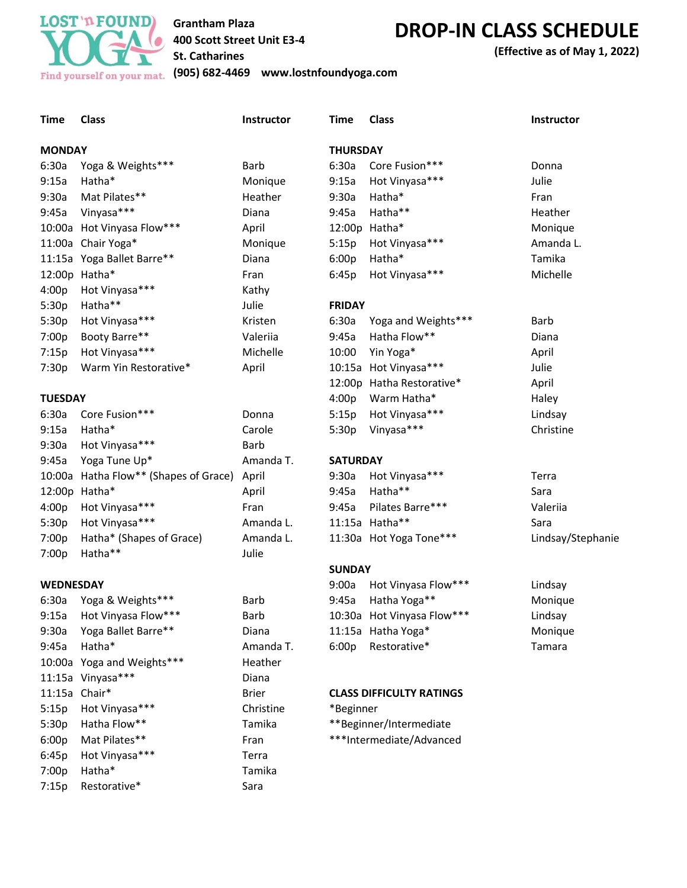

7:15p Restorative\* Sara

#### **Grantham Plaza 400 Scott Street Unit E3-4 St. Catharines**

## **DROP-IN CLASS SCHEDULE**

**(Effective as of May 1, 2022)**

**(905) 682-4469 www.lostnfoundyoga.com**

| <b>Time</b>      | <b>Class</b>                          | Instructor   | <b>Time</b>                     | <b>Class</b>               | <b>Instructor</b> |
|------------------|---------------------------------------|--------------|---------------------------------|----------------------------|-------------------|
| <b>MONDAY</b>    |                                       |              | <b>THURSDAY</b>                 |                            |                   |
| 6:30a            | Yoga & Weights***                     | Barb         | 6:30a                           | Core Fusion***             | Donna             |
| 9:15a            | Hatha*                                | Monique      | 9:15a                           | Hot Vinyasa***             | Julie             |
| 9:30a            | Mat Pilates**                         | Heather      | 9:30a                           | Hatha*                     | Fran              |
| 9:45a            | Vinyasa***                            | Diana        | 9:45a                           | Hatha**                    | Heather           |
|                  | 10:00a Hot Vinyasa Flow***            | April        |                                 | 12:00p Hatha*              | Monique           |
|                  | 11:00a Chair Yoga*                    | Monique      | 5:15p                           | Hot Vinyasa***             | Amanda L.         |
|                  | 11:15a Yoga Ballet Barre**            | Diana        | 6:00p                           | Hatha*                     | Tamika            |
|                  | 12:00p Hatha*                         | Fran         | 6:45p                           | Hot Vinyasa***             | Michelle          |
| 4:00p            | Hot Vinyasa***                        | Kathy        |                                 |                            |                   |
| 5:30p            | Hatha**                               | Julie        | <b>FRIDAY</b>                   |                            |                   |
| 5:30p            | Hot Vinyasa***                        | Kristen      | 6:30a                           | Yoga and Weights***        | Barb              |
| 7:00p            | Booty Barre**                         | Valeriia     | 9:45a                           | Hatha Flow**               | Diana             |
| 7:15p            | Hot Vinyasa***                        | Michelle     | 10:00                           | Yin Yoga*                  | April             |
| 7:30p            | Warm Yin Restorative*                 | April        |                                 | 10:15a Hot Vinyasa***      | Julie             |
|                  |                                       |              |                                 | 12:00p Hatha Restorative*  | April             |
| <b>TUESDAY</b>   |                                       |              | 4:00p                           | Warm Hatha*                | Haley             |
| 6:30a            | Core Fusion***                        | Donna        | 5:15p                           | Hot Vinyasa***             | Lindsay           |
| 9:15a            | Hatha*                                | Carole       | 5:30p                           | Vinyasa***                 | Christine         |
| 9:30a            | Hot Vinyasa***                        | Barb         |                                 |                            |                   |
| 9:45a            | Yoga Tune Up*                         | Amanda T.    | <b>SATURDAY</b>                 |                            |                   |
|                  | 10:00a Hatha Flow** (Shapes of Grace) | April        | 9:30a                           | Hot Vinyasa***             | Terra             |
|                  | 12:00p Hatha*                         | April        | 9:45a                           | Hatha**                    | Sara              |
| 4:00p            | Hot Vinyasa***                        | Fran         | 9:45a                           | Pilates Barre***           | Valeriia          |
| 5:30p            | Hot Vinyasa***                        | Amanda L.    |                                 | 11:15a Hatha**             | Sara              |
| 7:00p            | Hatha* (Shapes of Grace)              | Amanda L.    |                                 | 11:30a Hot Yoga Tone***    | Lindsay/Stephanie |
| 7:00p            | Hatha**                               | Julie        |                                 |                            |                   |
|                  |                                       |              | <b>SUNDAY</b>                   |                            |                   |
| <b>WEDNESDAY</b> |                                       |              | 9:00a                           | Hot Vinyasa Flow***        | Lindsay           |
|                  | 6:30a Yoga & Weights***               | Barb         | 9:45a                           | Hatha Yoga**               | Monique           |
| 9:15a            | Hot Vinyasa Flow***                   | Barb         |                                 | 10:30a Hot Vinyasa Flow*** | Lindsay           |
| 9:30a            | Yoga Ballet Barre**                   | Diana        |                                 | 11:15a Hatha Yoga*         | Monique           |
| 9:45a            | Hatha*                                | Amanda T.    | 6:00p                           | Restorative*               | Tamara            |
|                  | 10:00a Yoga and Weights***            | Heather      |                                 |                            |                   |
|                  | 11:15a Vinyasa***                     | Diana        |                                 |                            |                   |
|                  | 11:15a Chair*                         | <b>Brier</b> | <b>CLASS DIFFICULTY RATINGS</b> |                            |                   |
| 5:15p            | Hot Vinyasa***                        | Christine    | *Beginner                       |                            |                   |
| 5:30p            | Hatha Flow**                          | Tamika       | **Beginner/Intermediate         |                            |                   |
| 6:00p            | Mat Pilates**                         | Fran         | ***Intermediate/Advanced        |                            |                   |
| 6:45p            | Hot Vinyasa***                        | Terra        |                                 |                            |                   |
| 7:00p            | Hatha*                                | Tamika       |                                 |                            |                   |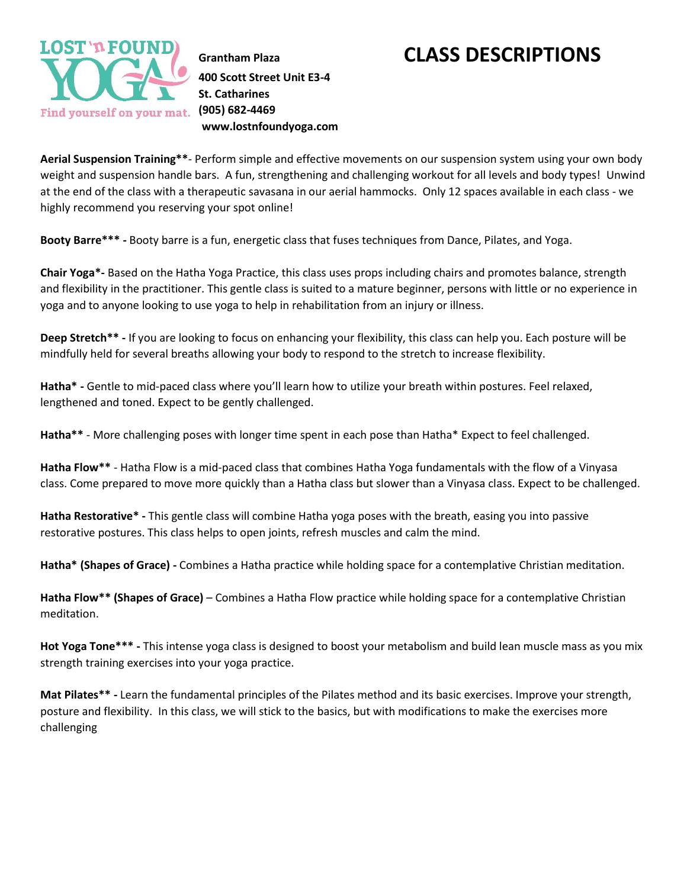

**400 Scott Street Unit E3-4 St. Catharines (905) 682-4469 www.lostnfoundyoga.com**

### **Grantham Plaza CLASS DESCRIPTIONS**

**Aerial Suspension Training\*\***- Perform simple and effective movements on our suspension system using your own body weight and suspension handle bars. A fun, strengthening and challenging workout for all levels and body types! Unwind at the end of the class with a therapeutic savasana in our aerial hammocks. Only 12 spaces available in each class - we highly recommend you reserving your spot online!

**Booty Barre\*\*\* -** Booty barre is a fun, energetic class that fuses techniques from Dance, Pilates, and Yoga.

**Chair Yoga\*-** Based on the Hatha Yoga Practice, this class uses props including chairs and promotes balance, strength and flexibility in the practitioner. This gentle class is suited to a mature beginner, persons with little or no experience in yoga and to anyone looking to use yoga to help in rehabilitation from an injury or illness.

**Deep Stretch\*\* -** If you are looking to focus on enhancing your flexibility, this class can help you. Each posture will be mindfully held for several breaths allowing your body to respond to the stretch to increase flexibility.

**Hatha\* -** Gentle to mid-paced class where you'll learn how to utilize your breath within postures. Feel relaxed, lengthened and toned. Expect to be gently challenged.

**Hatha\*\*** - More challenging poses with longer time spent in each pose than Hatha\* Expect to feel challenged.

**Hatha Flow\*\*** - Hatha Flow is a mid-paced class that combines Hatha Yoga fundamentals with the flow of a Vinyasa class. Come prepared to move more quickly than a Hatha class but slower than a Vinyasa class. Expect to be challenged.

**Hatha Restorative\* -** This gentle class will combine Hatha yoga poses with the breath, easing you into passive restorative postures. This class helps to open joints, refresh muscles and calm the mind.

**Hatha\* (Shapes of Grace) -** Combines a Hatha practice while holding space for a contemplative Christian meditation.

**Hatha Flow\*\* (Shapes of Grace)** – Combines a Hatha Flow practice while holding space for a contemplative Christian meditation.

**Hot Yoga Tone\*\*\* -** This intense yoga class is designed to boost your metabolism and build lean muscle mass as you mix strength training exercises into your yoga practice.

**Mat Pilates\*\* -** Learn the fundamental principles of the Pilates method and its basic exercises. Improve your strength, posture and flexibility. In this class, we will stick to the basics, but with modifications to make the exercises more challenging